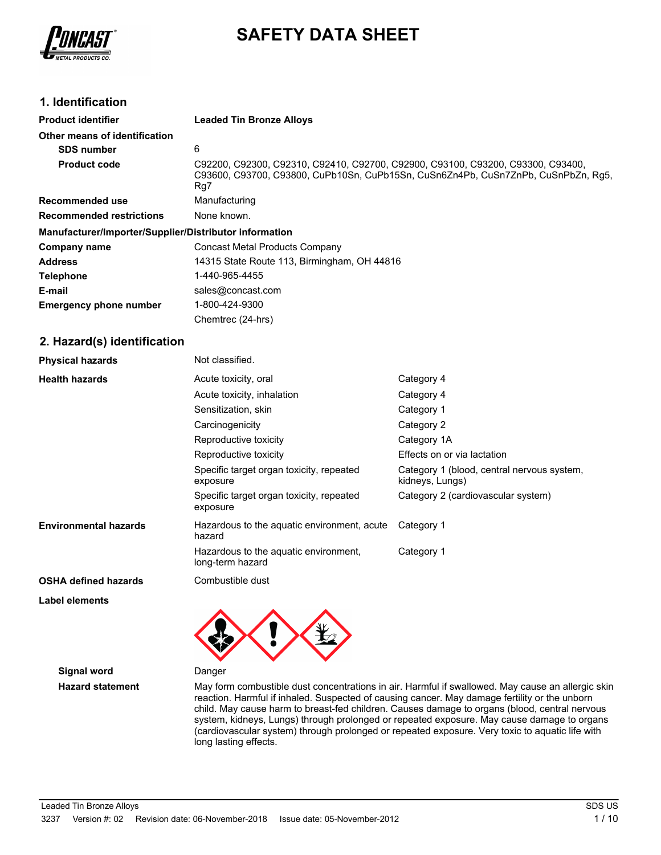

# **SAFETY DATA SHEET**

# **1. Identification**

| <b>Product identifier</b>                              | <b>Leaded Tin Bronze Alloys</b>                                                                                                                                             |  |  |  |
|--------------------------------------------------------|-----------------------------------------------------------------------------------------------------------------------------------------------------------------------------|--|--|--|
| Other means of identification                          |                                                                                                                                                                             |  |  |  |
| <b>SDS number</b>                                      | 6                                                                                                                                                                           |  |  |  |
| <b>Product code</b>                                    | C92200, C92300, C92310, C92410, C92700, C92900, C93100, C93200, C93300, C93400,<br>C93600, C93700, C93800, CuPb10Sn, CuPb15Sn, CuSn6Zn4Pb, CuSn7ZnPb, CuSnPbZn, Rq5,<br>Rg7 |  |  |  |
| Recommended use                                        | Manufacturing                                                                                                                                                               |  |  |  |
| <b>Recommended restrictions</b>                        | None known.                                                                                                                                                                 |  |  |  |
| Manufacturer/Importer/Supplier/Distributor information |                                                                                                                                                                             |  |  |  |
| Company name                                           | Concast Metal Products Company                                                                                                                                              |  |  |  |
| <b>Address</b>                                         | 14315 State Route 113, Birmingham, OH 44816                                                                                                                                 |  |  |  |
| <b>Telephone</b>                                       | 1-440-965-4455                                                                                                                                                              |  |  |  |
| E-mail                                                 | sales@concast.com                                                                                                                                                           |  |  |  |
| <b>Emergency phone number</b>                          | 1-800-424-9300                                                                                                                                                              |  |  |  |
|                                                        | Chemtrec (24-hrs)                                                                                                                                                           |  |  |  |

### **2. Hazard(s) identification**

| <b>Physical hazards</b>      | Not classified.                                           |                                                               |
|------------------------------|-----------------------------------------------------------|---------------------------------------------------------------|
| <b>Health hazards</b>        | Acute toxicity, oral                                      | Category 4                                                    |
|                              | Acute toxicity, inhalation                                | Category 4                                                    |
|                              | Sensitization, skin                                       | Category 1                                                    |
|                              | Carcinogenicity                                           | Category 2                                                    |
|                              | Reproductive toxicity                                     | Category 1A                                                   |
|                              | Reproductive toxicity                                     | Effects on or via lactation                                   |
|                              | Specific target organ toxicity, repeated<br>exposure      | Category 1 (blood, central nervous system,<br>kidneys, Lungs) |
|                              | Specific target organ toxicity, repeated<br>exposure      | Category 2 (cardiovascular system)                            |
| <b>Environmental hazards</b> | Hazardous to the aquatic environment, acute<br>hazard     | Category 1                                                    |
|                              | Hazardous to the aquatic environment,<br>long-term hazard | Category 1                                                    |
| <b>OSHA defined hazards</b>  | Combustible dust                                          |                                                               |
| Label elements               |                                                           |                                                               |



**Signal word** Danger

**Hazard statement** May form combustible dust concentrations in air. Harmful if swallowed. May cause an allergic skin reaction. Harmful if inhaled. Suspected of causing cancer. May damage fertility or the unborn child. May cause harm to breast-fed children. Causes damage to organs (blood, central nervous system, kidneys, Lungs) through prolonged or repeated exposure. May cause damage to organs (cardiovascular system) through prolonged or repeated exposure. Very toxic to aquatic life with long lasting effects.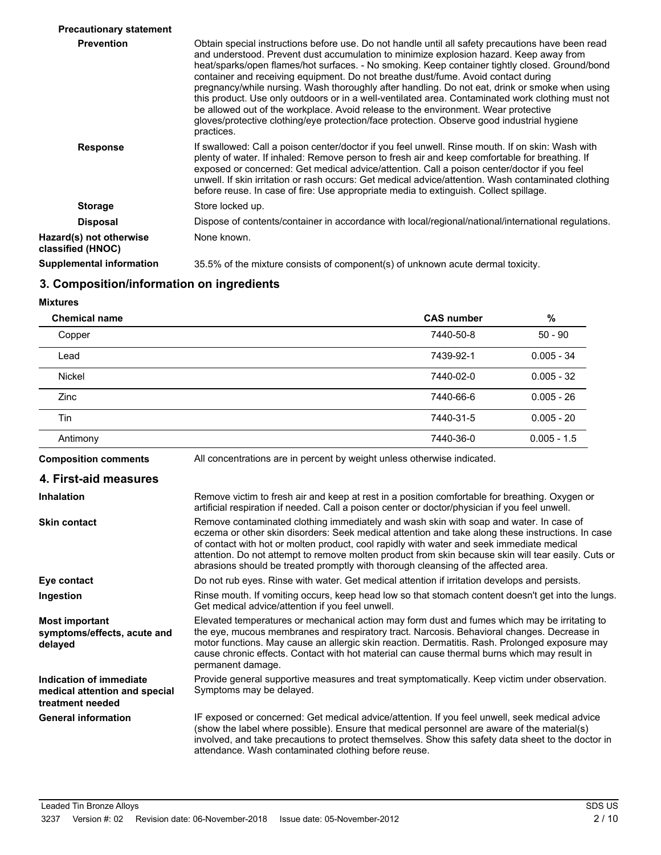| <b>Precautionary statement</b>               |                                                                                                                                                                                                                                                                                                                                                                                                                                                                                                                                                                                                                                                                                                                                                                                             |
|----------------------------------------------|---------------------------------------------------------------------------------------------------------------------------------------------------------------------------------------------------------------------------------------------------------------------------------------------------------------------------------------------------------------------------------------------------------------------------------------------------------------------------------------------------------------------------------------------------------------------------------------------------------------------------------------------------------------------------------------------------------------------------------------------------------------------------------------------|
| <b>Prevention</b>                            | Obtain special instructions before use. Do not handle until all safety precautions have been read<br>and understood. Prevent dust accumulation to minimize explosion hazard. Keep away from<br>heat/sparks/open flames/hot surfaces. - No smoking. Keep container tightly closed. Ground/bond<br>container and receiving equipment. Do not breathe dust/fume. Avoid contact during<br>pregnancy/while nursing. Wash thoroughly after handling. Do not eat, drink or smoke when using<br>this product. Use only outdoors or in a well-ventilated area. Contaminated work clothing must not<br>be allowed out of the workplace. Avoid release to the environment. Wear protective<br>gloves/protective clothing/eye protection/face protection. Observe good industrial hygiene<br>practices. |
| <b>Response</b>                              | If swallowed: Call a poison center/doctor if you feel unwell. Rinse mouth. If on skin: Wash with<br>plenty of water. If inhaled: Remove person to fresh air and keep comfortable for breathing. If<br>exposed or concerned: Get medical advice/attention. Call a poison center/doctor if you feel<br>unwell. If skin irritation or rash occurs: Get medical advice/attention. Wash contaminated clothing<br>before reuse. In case of fire: Use appropriate media to extinguish. Collect spillage.                                                                                                                                                                                                                                                                                           |
| <b>Storage</b>                               | Store locked up.                                                                                                                                                                                                                                                                                                                                                                                                                                                                                                                                                                                                                                                                                                                                                                            |
| <b>Disposal</b>                              | Dispose of contents/container in accordance with local/regional/national/international regulations.                                                                                                                                                                                                                                                                                                                                                                                                                                                                                                                                                                                                                                                                                         |
| Hazard(s) not otherwise<br>classified (HNOC) | None known.                                                                                                                                                                                                                                                                                                                                                                                                                                                                                                                                                                                                                                                                                                                                                                                 |
| Supplemental information                     | 35.5% of the mixture consists of component(s) of unknown acute dermal toxicity.                                                                                                                                                                                                                                                                                                                                                                                                                                                                                                                                                                                                                                                                                                             |
|                                              |                                                                                                                                                                                                                                                                                                                                                                                                                                                                                                                                                                                                                                                                                                                                                                                             |

# **3. Composition/information on ingredients**

**Mixtures**

| <b>Chemical name</b> | <b>CAS number</b> | $\%$          |
|----------------------|-------------------|---------------|
| Copper               | 7440-50-8         | $50 - 90$     |
| Lead                 | 7439-92-1         | $0.005 - 34$  |
| <b>Nickel</b>        | 7440-02-0         | $0.005 - 32$  |
| <b>Zinc</b>          | 7440-66-6         | $0.005 - 26$  |
| Tin                  | 7440-31-5         | $0.005 - 20$  |
| Antimony             | 7440-36-0         | $0.005 - 1.5$ |

**Composition comments** All concentrations are in percent by weight unless otherwise indicated.

| 4. First-aid measures                                                        |                                                                                                                                                                                                                                                                                                                                                                                                                                                                                       |
|------------------------------------------------------------------------------|---------------------------------------------------------------------------------------------------------------------------------------------------------------------------------------------------------------------------------------------------------------------------------------------------------------------------------------------------------------------------------------------------------------------------------------------------------------------------------------|
| <b>Inhalation</b>                                                            | Remove victim to fresh air and keep at rest in a position comfortable for breathing. Oxygen or<br>artificial respiration if needed. Call a poison center or doctor/physician if you feel unwell.                                                                                                                                                                                                                                                                                      |
| <b>Skin contact</b>                                                          | Remove contaminated clothing immediately and wash skin with soap and water. In case of<br>eczema or other skin disorders: Seek medical attention and take along these instructions. In case<br>of contact with hot or molten product, cool rapidly with water and seek immediate medical<br>attention. Do not attempt to remove molten product from skin because skin will tear easily. Cuts or<br>abrasions should be treated promptly with thorough cleansing of the affected area. |
| Eye contact                                                                  | Do not rub eyes. Rinse with water. Get medical attention if irritation develops and persists.                                                                                                                                                                                                                                                                                                                                                                                         |
| Ingestion                                                                    | Rinse mouth. If vomiting occurs, keep head low so that stomach content doesn't get into the lungs.<br>Get medical advice/attention if you feel unwell.                                                                                                                                                                                                                                                                                                                                |
| <b>Most important</b><br>symptoms/effects, acute and<br>delayed              | Elevated temperatures or mechanical action may form dust and fumes which may be irritating to<br>the eye, mucous membranes and respiratory tract. Narcosis. Behavioral changes. Decrease in<br>motor functions. May cause an allergic skin reaction. Dermatitis. Rash. Prolonged exposure may<br>cause chronic effects. Contact with hot material can cause thermal burns which may result in<br>permanent damage.                                                                    |
| Indication of immediate<br>medical attention and special<br>treatment needed | Provide general supportive measures and treat symptomatically. Keep victim under observation.<br>Symptoms may be delayed.                                                                                                                                                                                                                                                                                                                                                             |
| <b>General information</b>                                                   | IF exposed or concerned: Get medical advice/attention. If you feel unwell, seek medical advice<br>(show the label where possible). Ensure that medical personnel are aware of the material(s)<br>involved, and take precautions to protect themselves. Show this safety data sheet to the doctor in<br>attendance. Wash contaminated clothing before reuse.                                                                                                                           |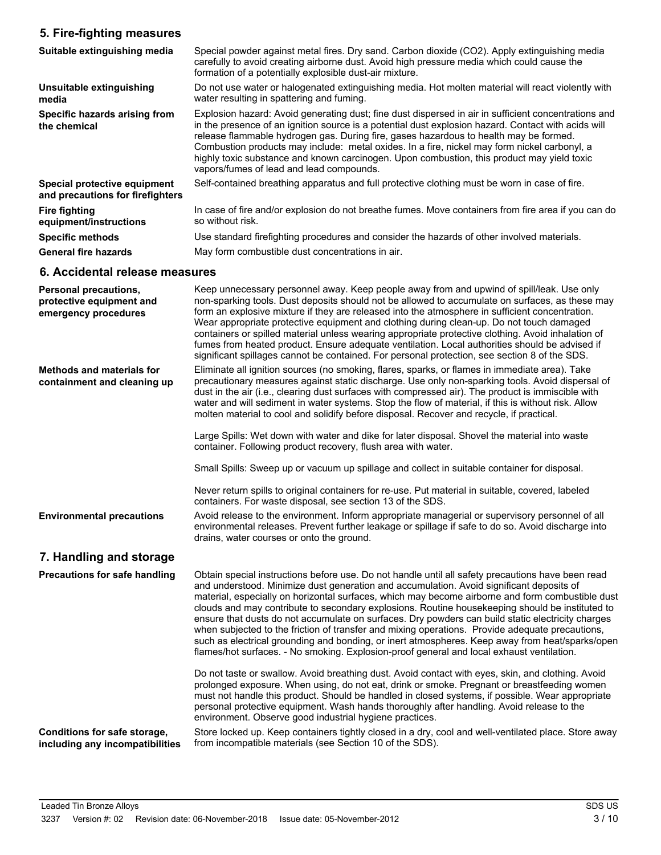# **5. Fire-fighting measures**

| Suitable extinguishing media                                     | Special powder against metal fires. Dry sand. Carbon dioxide (CO2). Apply extinguishing media<br>carefully to avoid creating airborne dust. Avoid high pressure media which could cause the<br>formation of a potentially explosible dust-air mixture.                                                                                                                                                                                                                                                                                         |
|------------------------------------------------------------------|------------------------------------------------------------------------------------------------------------------------------------------------------------------------------------------------------------------------------------------------------------------------------------------------------------------------------------------------------------------------------------------------------------------------------------------------------------------------------------------------------------------------------------------------|
| Unsuitable extinguishing<br>media                                | Do not use water or halogenated extinguishing media. Hot molten material will react violently with<br>water resulting in spattering and fuming.                                                                                                                                                                                                                                                                                                                                                                                                |
| Specific hazards arising from<br>the chemical                    | Explosion hazard: Avoid generating dust; fine dust dispersed in air in sufficient concentrations and<br>in the presence of an ignition source is a potential dust explosion hazard. Contact with acids will<br>release flammable hydrogen gas. During fire, gases hazardous to health may be formed.<br>Combustion products may include: metal oxides. In a fire, nickel may form nickel carbonyl, a<br>highly toxic substance and known carcinogen. Upon combustion, this product may yield toxic<br>vapors/fumes of lead and lead compounds. |
| Special protective equipment<br>and precautions for firefighters | Self-contained breathing apparatus and full protective clothing must be worn in case of fire.                                                                                                                                                                                                                                                                                                                                                                                                                                                  |
| <b>Fire fighting</b><br>equipment/instructions                   | In case of fire and/or explosion do not breathe fumes. Move containers from fire area if you can do<br>so without risk.                                                                                                                                                                                                                                                                                                                                                                                                                        |
| <b>Specific methods</b>                                          | Use standard firefighting procedures and consider the hazards of other involved materials.                                                                                                                                                                                                                                                                                                                                                                                                                                                     |
| <b>General fire hazards</b>                                      | May form combustible dust concentrations in air.                                                                                                                                                                                                                                                                                                                                                                                                                                                                                               |

# **6. Accidental release measures**

| <b>Personal precautions,</b><br>protective equipment and<br>emergency procedures | Keep unnecessary personnel away. Keep people away from and upwind of spill/leak. Use only<br>non-sparking tools. Dust deposits should not be allowed to accumulate on surfaces, as these may<br>form an explosive mixture if they are released into the atmosphere in sufficient concentration.<br>Wear appropriate protective equipment and clothing during clean-up. Do not touch damaged<br>containers or spilled material unless wearing appropriate protective clothing. Avoid inhalation of<br>fumes from heated product. Ensure adequate ventilation. Local authorities should be advised if<br>significant spillages cannot be contained. For personal protection, see section 8 of the SDS.                                                                                                         |
|----------------------------------------------------------------------------------|--------------------------------------------------------------------------------------------------------------------------------------------------------------------------------------------------------------------------------------------------------------------------------------------------------------------------------------------------------------------------------------------------------------------------------------------------------------------------------------------------------------------------------------------------------------------------------------------------------------------------------------------------------------------------------------------------------------------------------------------------------------------------------------------------------------|
| <b>Methods and materials for</b><br>containment and cleaning up                  | Eliminate all ignition sources (no smoking, flares, sparks, or flames in immediate area). Take<br>precautionary measures against static discharge. Use only non-sparking tools. Avoid dispersal of<br>dust in the air (i.e., clearing dust surfaces with compressed air). The product is immiscible with<br>water and will sediment in water systems. Stop the flow of material, if this is without risk. Allow<br>molten material to cool and solidify before disposal. Recover and recycle, if practical.                                                                                                                                                                                                                                                                                                  |
|                                                                                  | Large Spills: Wet down with water and dike for later disposal. Shovel the material into waste<br>container. Following product recovery, flush area with water.                                                                                                                                                                                                                                                                                                                                                                                                                                                                                                                                                                                                                                               |
|                                                                                  | Small Spills: Sweep up or vacuum up spillage and collect in suitable container for disposal.                                                                                                                                                                                                                                                                                                                                                                                                                                                                                                                                                                                                                                                                                                                 |
|                                                                                  | Never return spills to original containers for re-use. Put material in suitable, covered, labeled<br>containers. For waste disposal, see section 13 of the SDS.                                                                                                                                                                                                                                                                                                                                                                                                                                                                                                                                                                                                                                              |
| <b>Environmental precautions</b>                                                 | Avoid release to the environment. Inform appropriate managerial or supervisory personnel of all<br>environmental releases. Prevent further leakage or spillage if safe to do so. Avoid discharge into<br>drains, water courses or onto the ground.                                                                                                                                                                                                                                                                                                                                                                                                                                                                                                                                                           |
| 7. Handling and storage                                                          |                                                                                                                                                                                                                                                                                                                                                                                                                                                                                                                                                                                                                                                                                                                                                                                                              |
| <b>Precautions for safe handling</b>                                             | Obtain special instructions before use. Do not handle until all safety precautions have been read<br>and understood. Minimize dust generation and accumulation. Avoid significant deposits of<br>material, especially on horizontal surfaces, which may become airborne and form combustible dust<br>clouds and may contribute to secondary explosions. Routine housekeeping should be instituted to<br>ensure that dusts do not accumulate on surfaces. Dry powders can build static electricity charges<br>when subjected to the friction of transfer and mixing operations. Provide adequate precautions,<br>such as electrical grounding and bonding, or inert atmospheres. Keep away from heat/sparks/open<br>flames/hot surfaces. - No smoking. Explosion-proof general and local exhaust ventilation. |
|                                                                                  | Do not taste or swallow. Avoid breathing dust. Avoid contact with eyes, skin, and clothing. Avoid<br>prolonged exposure. When using, do not eat, drink or smoke. Pregnant or breastfeeding women<br>must not handle this product. Should be handled in closed systems, if possible. Wear appropriate<br>personal protective equipment. Wash hands thoroughly after handling. Avoid release to the<br>environment. Observe good industrial hygiene practices.                                                                                                                                                                                                                                                                                                                                                 |
| Conditions for safe storage,<br>including any incompatibilities                  | Store locked up. Keep containers tightly closed in a dry, cool and well-ventilated place. Store away<br>from incompatible materials (see Section 10 of the SDS).                                                                                                                                                                                                                                                                                                                                                                                                                                                                                                                                                                                                                                             |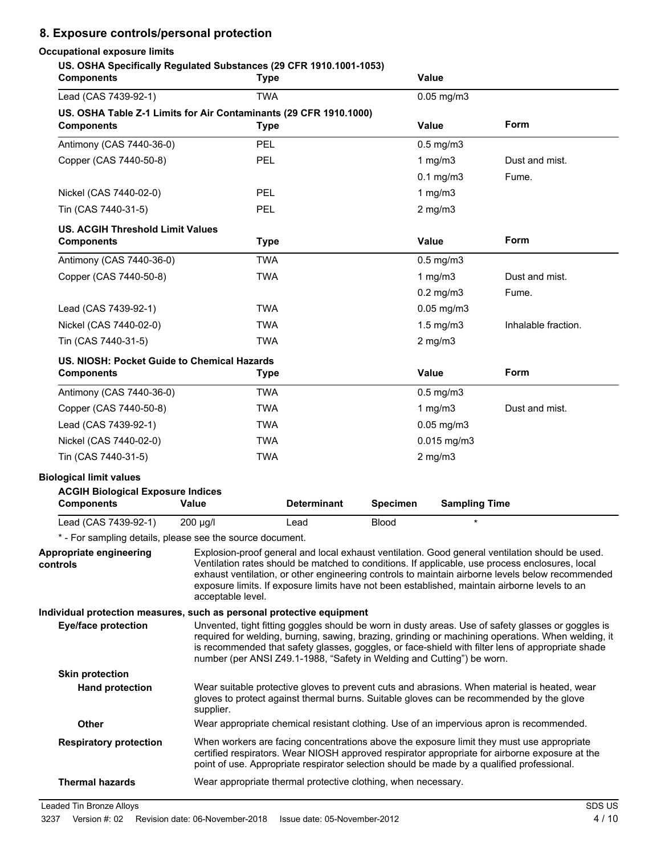# **8. Exposure controls/personal protection**

# **Occupational exposure limits**

**US. OSHA Specifically Regulated Substances (29 CFR 1910.1001-1053)**

| <b>Components</b>                                                                      |            | <b>Type</b>                                                                                                                                                                                                                                                                                                                                                                                                                  |                                                               |                 | <b>Value</b>                                                           |                                                                                                                                                                                                                                                                                                               |
|----------------------------------------------------------------------------------------|------------|------------------------------------------------------------------------------------------------------------------------------------------------------------------------------------------------------------------------------------------------------------------------------------------------------------------------------------------------------------------------------------------------------------------------------|---------------------------------------------------------------|-----------------|------------------------------------------------------------------------|---------------------------------------------------------------------------------------------------------------------------------------------------------------------------------------------------------------------------------------------------------------------------------------------------------------|
| Lead (CAS 7439-92-1)                                                                   | <b>TWA</b> |                                                                                                                                                                                                                                                                                                                                                                                                                              | $0.05$ mg/m $3$                                               |                 |                                                                        |                                                                                                                                                                                                                                                                                                               |
| US. OSHA Table Z-1 Limits for Air Contaminants (29 CFR 1910.1000)<br><b>Components</b> |            | <b>Type</b>                                                                                                                                                                                                                                                                                                                                                                                                                  |                                                               |                 | <b>Value</b>                                                           | Form                                                                                                                                                                                                                                                                                                          |
| Antimony (CAS 7440-36-0)                                                               |            | <b>PEL</b>                                                                                                                                                                                                                                                                                                                                                                                                                   |                                                               |                 | $0.5$ mg/m $3$                                                         |                                                                                                                                                                                                                                                                                                               |
| Copper (CAS 7440-50-8)                                                                 |            | <b>PEL</b>                                                                                                                                                                                                                                                                                                                                                                                                                   |                                                               |                 | 1 $mg/m3$                                                              | Dust and mist.                                                                                                                                                                                                                                                                                                |
|                                                                                        |            |                                                                                                                                                                                                                                                                                                                                                                                                                              |                                                               |                 | $0.1$ mg/m $3$                                                         | Fume.                                                                                                                                                                                                                                                                                                         |
| Nickel (CAS 7440-02-0)                                                                 |            | <b>PEL</b>                                                                                                                                                                                                                                                                                                                                                                                                                   |                                                               |                 | 1 $mg/m3$                                                              |                                                                                                                                                                                                                                                                                                               |
| Tin (CAS 7440-31-5)                                                                    |            | <b>PEL</b>                                                                                                                                                                                                                                                                                                                                                                                                                   |                                                               |                 | $2$ mg/m $3$                                                           |                                                                                                                                                                                                                                                                                                               |
| <b>US. ACGIH Threshold Limit Values</b><br><b>Components</b>                           |            | <b>Type</b>                                                                                                                                                                                                                                                                                                                                                                                                                  |                                                               |                 | <b>Value</b>                                                           | Form                                                                                                                                                                                                                                                                                                          |
| Antimony (CAS 7440-36-0)                                                               |            | <b>TWA</b>                                                                                                                                                                                                                                                                                                                                                                                                                   |                                                               |                 | $0.5$ mg/m $3$                                                         |                                                                                                                                                                                                                                                                                                               |
| Copper (CAS 7440-50-8)                                                                 |            | <b>TWA</b>                                                                                                                                                                                                                                                                                                                                                                                                                   |                                                               |                 | 1 $mg/m3$                                                              | Dust and mist.                                                                                                                                                                                                                                                                                                |
|                                                                                        |            |                                                                                                                                                                                                                                                                                                                                                                                                                              |                                                               |                 | $0.2$ mg/m $3$                                                         | Fume.                                                                                                                                                                                                                                                                                                         |
| Lead (CAS 7439-92-1)                                                                   |            | <b>TWA</b>                                                                                                                                                                                                                                                                                                                                                                                                                   |                                                               |                 | $0.05$ mg/m $3$                                                        |                                                                                                                                                                                                                                                                                                               |
| Nickel (CAS 7440-02-0)                                                                 |            | <b>TWA</b>                                                                                                                                                                                                                                                                                                                                                                                                                   |                                                               |                 | $1.5$ mg/m $3$                                                         | Inhalable fraction.                                                                                                                                                                                                                                                                                           |
| Tin (CAS 7440-31-5)                                                                    |            | <b>TWA</b>                                                                                                                                                                                                                                                                                                                                                                                                                   |                                                               |                 | $2$ mg/m $3$                                                           |                                                                                                                                                                                                                                                                                                               |
| US. NIOSH: Pocket Guide to Chemical Hazards<br><b>Components</b>                       |            | <b>Type</b>                                                                                                                                                                                                                                                                                                                                                                                                                  |                                                               |                 | <b>Value</b>                                                           | Form                                                                                                                                                                                                                                                                                                          |
| Antimony (CAS 7440-36-0)                                                               |            | <b>TWA</b>                                                                                                                                                                                                                                                                                                                                                                                                                   |                                                               |                 | $0.5$ mg/m $3$                                                         |                                                                                                                                                                                                                                                                                                               |
| Copper (CAS 7440-50-8)                                                                 |            | <b>TWA</b>                                                                                                                                                                                                                                                                                                                                                                                                                   |                                                               |                 | 1 $mg/m3$                                                              | Dust and mist.                                                                                                                                                                                                                                                                                                |
| Lead (CAS 7439-92-1)                                                                   |            | <b>TWA</b>                                                                                                                                                                                                                                                                                                                                                                                                                   |                                                               |                 | $0.05$ mg/m $3$                                                        |                                                                                                                                                                                                                                                                                                               |
| Nickel (CAS 7440-02-0)                                                                 |            | <b>TWA</b>                                                                                                                                                                                                                                                                                                                                                                                                                   |                                                               |                 | $0.015$ mg/m3                                                          |                                                                                                                                                                                                                                                                                                               |
| Tin (CAS 7440-31-5)                                                                    |            | <b>TWA</b>                                                                                                                                                                                                                                                                                                                                                                                                                   |                                                               |                 | $2$ mg/m $3$                                                           |                                                                                                                                                                                                                                                                                                               |
| <b>Biological limit values</b>                                                         |            |                                                                                                                                                                                                                                                                                                                                                                                                                              |                                                               |                 |                                                                        |                                                                                                                                                                                                                                                                                                               |
| <b>ACGIH Biological Exposure Indices</b><br><b>Components</b>                          | Value      |                                                                                                                                                                                                                                                                                                                                                                                                                              | <b>Determinant</b>                                            | <b>Specimen</b> | <b>Sampling Time</b>                                                   |                                                                                                                                                                                                                                                                                                               |
| Lead (CAS 7439-92-1)                                                                   | 200 µg/l   | Lead                                                                                                                                                                                                                                                                                                                                                                                                                         |                                                               | <b>Blood</b>    | $\star$                                                                |                                                                                                                                                                                                                                                                                                               |
| * - For sampling details, please see the source document.                              |            |                                                                                                                                                                                                                                                                                                                                                                                                                              |                                                               |                 |                                                                        |                                                                                                                                                                                                                                                                                                               |
| Appropriate engineering<br>controls                                                    |            | Explosion-proof general and local exhaust ventilation. Good general ventilation should be used.<br>Ventilation rates should be matched to conditions. If applicable, use process enclosures, local<br>exhaust ventilation, or other engineering controls to maintain airborne levels below recommended<br>exposure limits. If exposure limits have not been established, maintain airborne levels to an<br>acceptable level. |                                                               |                 |                                                                        |                                                                                                                                                                                                                                                                                                               |
| Individual protection measures, such as personal protective equipment                  |            |                                                                                                                                                                                                                                                                                                                                                                                                                              |                                                               |                 |                                                                        |                                                                                                                                                                                                                                                                                                               |
| <b>Eye/face protection</b>                                                             |            |                                                                                                                                                                                                                                                                                                                                                                                                                              |                                                               |                 | number (per ANSI Z49.1-1988, "Safety in Welding and Cutting") be worn. | Unvented, tight fitting goggles should be worn in dusty areas. Use of safety glasses or goggles is<br>required for welding, burning, sawing, brazing, grinding or machining operations. When welding, it<br>is recommended that safety glasses, goggles, or face-shield with filter lens of appropriate shade |
| <b>Skin protection</b>                                                                 |            |                                                                                                                                                                                                                                                                                                                                                                                                                              |                                                               |                 |                                                                        |                                                                                                                                                                                                                                                                                                               |
| <b>Hand protection</b>                                                                 | supplier.  | Wear suitable protective gloves to prevent cuts and abrasions. When material is heated, wear<br>gloves to protect against thermal burns. Suitable gloves can be recommended by the glove                                                                                                                                                                                                                                     |                                                               |                 |                                                                        |                                                                                                                                                                                                                                                                                                               |
| Other                                                                                  |            |                                                                                                                                                                                                                                                                                                                                                                                                                              |                                                               |                 |                                                                        | Wear appropriate chemical resistant clothing. Use of an impervious apron is recommended.                                                                                                                                                                                                                      |
| <b>Respiratory protection</b>                                                          |            |                                                                                                                                                                                                                                                                                                                                                                                                                              |                                                               |                 |                                                                        | When workers are facing concentrations above the exposure limit they must use appropriate<br>certified respirators. Wear NIOSH approved respirator appropriate for airborne exposure at the<br>point of use. Appropriate respirator selection should be made by a qualified professional.                     |
| <b>Thermal hazards</b>                                                                 |            |                                                                                                                                                                                                                                                                                                                                                                                                                              | Wear appropriate thermal protective clothing, when necessary. |                 |                                                                        |                                                                                                                                                                                                                                                                                                               |

Leaded Tin Bronze Alloys SDS US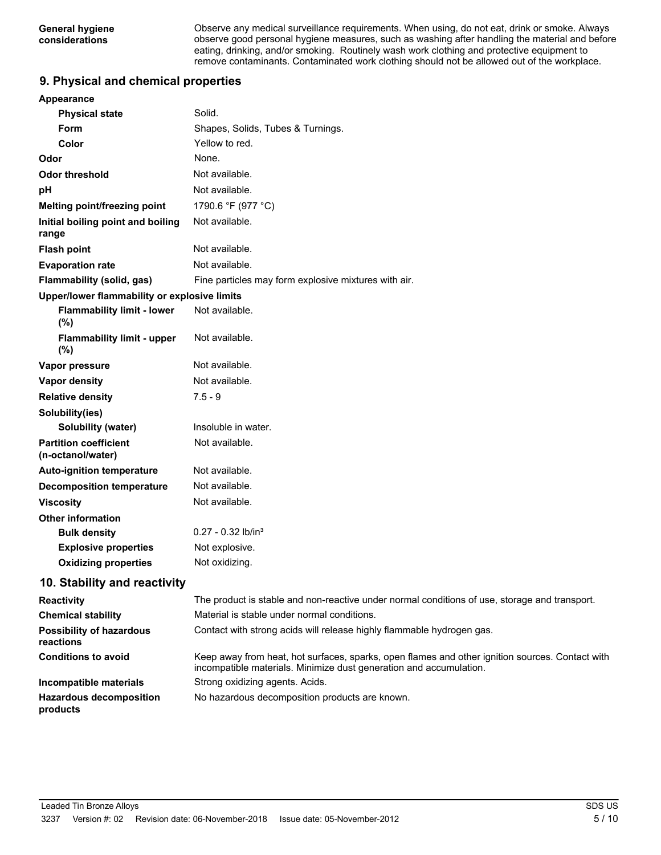Observe any medical surveillance requirements. When using, do not eat, drink or smoke. Always observe good personal hygiene measures, such as washing after handling the material and before eating, drinking, and/or smoking. Routinely wash work clothing and protective equipment to remove contaminants. Contaminated work clothing should not be allowed out of the workplace.

# **9. Physical and chemical properties**

| <b>Appearance</b>                                 |                                                      |  |  |
|---------------------------------------------------|------------------------------------------------------|--|--|
| <b>Physical state</b>                             | Solid.                                               |  |  |
| <b>Form</b>                                       | Shapes, Solids, Tubes & Turnings.                    |  |  |
| Color                                             | Yellow to red.                                       |  |  |
| Odor                                              | None.                                                |  |  |
| <b>Odor threshold</b>                             | Not available.                                       |  |  |
| pH                                                | Not available.                                       |  |  |
| Melting point/freezing point                      | 1790.6 °F (977 °C)                                   |  |  |
| Initial boiling point and boiling<br>range        | Not available.                                       |  |  |
| <b>Flash point</b>                                | Not available.                                       |  |  |
| <b>Evaporation rate</b>                           | Not available.                                       |  |  |
| Flammability (solid, gas)                         | Fine particles may form explosive mixtures with air. |  |  |
| Upper/lower flammability or explosive limits      |                                                      |  |  |
| <b>Flammability limit - lower</b><br>(%)          | Not available.                                       |  |  |
| <b>Flammability limit - upper</b><br>(%)          | Not available.                                       |  |  |
| Vapor pressure                                    | Not available.                                       |  |  |
| Vapor density                                     | Not available.                                       |  |  |
| <b>Relative density</b>                           | $7.5 - 9$                                            |  |  |
| Solubility(ies)                                   |                                                      |  |  |
| Solubility (water)                                | Insoluble in water.                                  |  |  |
| <b>Partition coefficient</b><br>(n-octanol/water) | Not available.                                       |  |  |
| <b>Auto-ignition temperature</b>                  | Not available.                                       |  |  |
| <b>Decomposition temperature</b>                  | Not available.                                       |  |  |
| <b>Viscosity</b>                                  | Not available.                                       |  |  |
| <b>Other information</b>                          |                                                      |  |  |
| <b>Bulk density</b>                               | $0.27 - 0.32$ lb/in <sup>3</sup>                     |  |  |
| <b>Explosive properties</b>                       | Not explosive.                                       |  |  |
| <b>Oxidizing properties</b>                       | Not oxidizing.                                       |  |  |
| 10. Stability and reactivity                      |                                                      |  |  |
|                                                   |                                                      |  |  |

| <b>Reactivity</b>                            | The product is stable and non-reactive under normal conditions of use, storage and transport.                                                                         |
|----------------------------------------------|-----------------------------------------------------------------------------------------------------------------------------------------------------------------------|
| <b>Chemical stability</b>                    | Material is stable under normal conditions.                                                                                                                           |
| <b>Possibility of hazardous</b><br>reactions | Contact with strong acids will release highly flammable hydrogen gas.                                                                                                 |
| <b>Conditions to avoid</b>                   | Keep away from heat, hot surfaces, sparks, open flames and other ignition sources. Contact with<br>incompatible materials. Minimize dust generation and accumulation. |
| Incompatible materials                       | Strong oxidizing agents. Acids.                                                                                                                                       |
| <b>Hazardous decomposition</b><br>products   | No hazardous decomposition products are known.                                                                                                                        |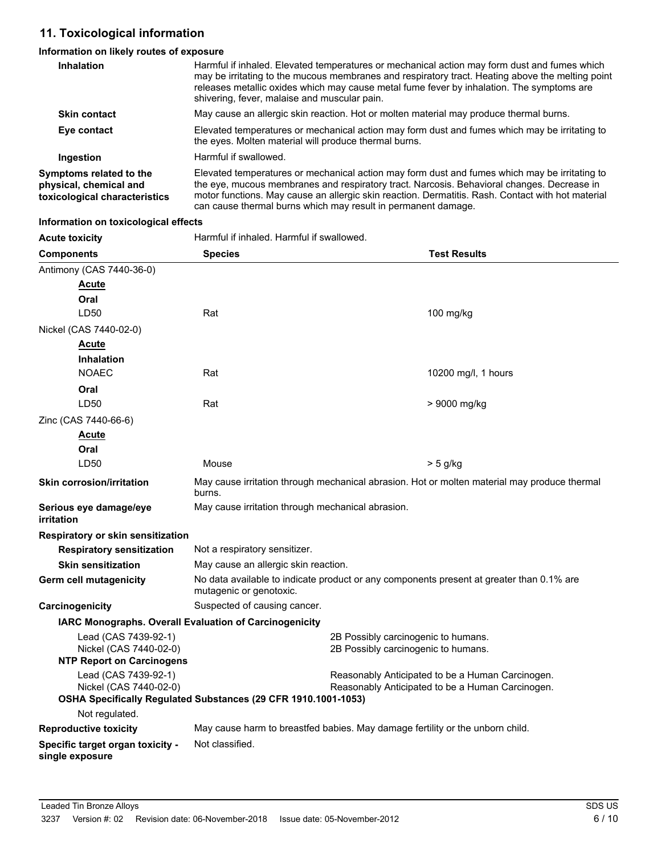# **11. Toxicological information**

# **Information on likely routes of exposure**

| <b>Inhalation</b>                                                                  | Harmful if inhaled. Elevated temperatures or mechanical action may form dust and fumes which<br>may be irritating to the mucous membranes and respiratory tract. Heating above the melting point<br>releases metallic oxides which may cause metal fume fever by inhalation. The symptoms are<br>shivering, fever, malaise and muscular pain.                     |
|------------------------------------------------------------------------------------|-------------------------------------------------------------------------------------------------------------------------------------------------------------------------------------------------------------------------------------------------------------------------------------------------------------------------------------------------------------------|
| <b>Skin contact</b>                                                                | May cause an allergic skin reaction. Hot or molten material may produce thermal burns.                                                                                                                                                                                                                                                                            |
| Eye contact                                                                        | Elevated temperatures or mechanical action may form dust and fumes which may be irritating to<br>the eyes. Molten material will produce thermal burns.                                                                                                                                                                                                            |
| Ingestion                                                                          | Harmful if swallowed.                                                                                                                                                                                                                                                                                                                                             |
| Symptoms related to the<br>physical, chemical and<br>toxicological characteristics | Elevated temperatures or mechanical action may form dust and fumes which may be irritating to<br>the eye, mucous membranes and respiratory tract. Narcosis. Behavioral changes. Decrease in<br>motor functions. May cause an allergic skin reaction. Dermatitis. Rash. Contact with hot material<br>can cause thermal burns which may result in permanent damage. |

#### **Information on toxicological effects**

| <b>Acute toxicity</b>                               | Harmful if inhaled. Harmful if swallowed.                                                                           |                                     |                     |
|-----------------------------------------------------|---------------------------------------------------------------------------------------------------------------------|-------------------------------------|---------------------|
| <b>Components</b>                                   | <b>Species</b>                                                                                                      |                                     | <b>Test Results</b> |
| Antimony (CAS 7440-36-0)                            |                                                                                                                     |                                     |                     |
| <u>Acute</u>                                        |                                                                                                                     |                                     |                     |
| Oral                                                |                                                                                                                     |                                     |                     |
| LD50                                                | Rat                                                                                                                 |                                     | 100 mg/kg           |
| Nickel (CAS 7440-02-0)                              |                                                                                                                     |                                     |                     |
| Acute                                               |                                                                                                                     |                                     |                     |
| <b>Inhalation</b>                                   |                                                                                                                     |                                     |                     |
| <b>NOAEC</b>                                        | Rat                                                                                                                 |                                     | 10200 mg/l, 1 hours |
| Oral                                                |                                                                                                                     |                                     |                     |
| LD <sub>50</sub>                                    | Rat                                                                                                                 |                                     | > 9000 mg/kg        |
| Zinc (CAS 7440-66-6)                                |                                                                                                                     |                                     |                     |
| <u>Acute</u>                                        |                                                                                                                     |                                     |                     |
| Oral                                                |                                                                                                                     |                                     |                     |
| LD <sub>50</sub>                                    | Mouse                                                                                                               |                                     | $> 5$ g/kg          |
| <b>Skin corrosion/irritation</b>                    | May cause irritation through mechanical abrasion. Hot or molten material may produce thermal<br>burns.              |                                     |                     |
| Serious eye damage/eye<br><i>irritation</i>         | May cause irritation through mechanical abrasion.                                                                   |                                     |                     |
| Respiratory or skin sensitization                   |                                                                                                                     |                                     |                     |
| <b>Respiratory sensitization</b>                    | Not a respiratory sensitizer.                                                                                       |                                     |                     |
| <b>Skin sensitization</b>                           | May cause an allergic skin reaction.                                                                                |                                     |                     |
| <b>Germ cell mutagenicity</b>                       | No data available to indicate product or any components present at greater than 0.1% are<br>mutagenic or genotoxic. |                                     |                     |
| Carcinogenicity                                     | Suspected of causing cancer.                                                                                        |                                     |                     |
|                                                     | IARC Monographs. Overall Evaluation of Carcinogenicity                                                              |                                     |                     |
| Lead (CAS 7439-92-1)                                |                                                                                                                     | 2B Possibly carcinogenic to humans. |                     |
| Nickel (CAS 7440-02-0)                              |                                                                                                                     | 2B Possibly carcinogenic to humans. |                     |
| <b>NTP Report on Carcinogens</b>                    |                                                                                                                     |                                     |                     |
| Lead (CAS 7439-92-1)<br>Nickel (CAS 7440-02-0)      | Reasonably Anticipated to be a Human Carcinogen.<br>Reasonably Anticipated to be a Human Carcinogen.                |                                     |                     |
|                                                     | OSHA Specifically Regulated Substances (29 CFR 1910.1001-1053)                                                      |                                     |                     |
| Not regulated.                                      |                                                                                                                     |                                     |                     |
| <b>Reproductive toxicity</b>                        | May cause harm to breastfed babies. May damage fertility or the unborn child.                                       |                                     |                     |
| Specific target organ toxicity -<br>single exposure | Not classified.                                                                                                     |                                     |                     |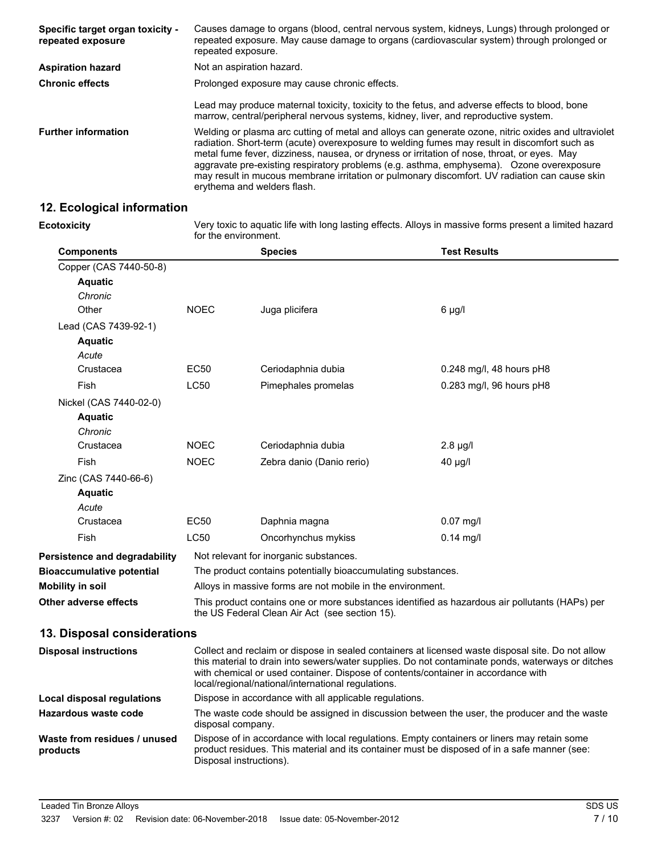| Specific target organ toxicity -<br>repeated exposure | Causes damage to organs (blood, central nervous system, kidneys, Lungs) through prolonged or<br>repeated exposure. May cause damage to organs (cardiovascular system) through prolonged or<br>repeated exposure.                                                                                                                                                                                                                                                                                                               |
|-------------------------------------------------------|--------------------------------------------------------------------------------------------------------------------------------------------------------------------------------------------------------------------------------------------------------------------------------------------------------------------------------------------------------------------------------------------------------------------------------------------------------------------------------------------------------------------------------|
| <b>Aspiration hazard</b>                              | Not an aspiration hazard.                                                                                                                                                                                                                                                                                                                                                                                                                                                                                                      |
| <b>Chronic effects</b>                                | Prolonged exposure may cause chronic effects.                                                                                                                                                                                                                                                                                                                                                                                                                                                                                  |
|                                                       | Lead may produce maternal toxicity, toxicity to the fetus, and adverse effects to blood, bone<br>marrow, central/peripheral nervous systems, kidney, liver, and reproductive system.                                                                                                                                                                                                                                                                                                                                           |
| <b>Further information</b>                            | Welding or plasma arc cutting of metal and alloys can generate ozone, nitric oxides and ultraviolet<br>radiation. Short-term (acute) overexposure to welding fumes may result in discomfort such as<br>metal fume fever, dizziness, nausea, or dryness or irritation of nose, throat, or eyes. May<br>aggravate pre-existing respiratory problems (e.g. asthma, emphysema). Ozone overexposure<br>may result in mucous membrane irritation or pulmonary discomfort. UV radiation can cause skin<br>erythema and welders flash. |

# **12. Ecological information**

**Ecotoxicity**

Very toxic to aquatic life with long lasting effects. Alloys in massive forms present a limited hazard for the environment.

| <b>Components</b>                    |                                                                                                                                                  | <b>Species</b>                         | <b>Test Results</b>        |
|--------------------------------------|--------------------------------------------------------------------------------------------------------------------------------------------------|----------------------------------------|----------------------------|
| Copper (CAS 7440-50-8)               |                                                                                                                                                  |                                        |                            |
| <b>Aquatic</b>                       |                                                                                                                                                  |                                        |                            |
| Chronic                              |                                                                                                                                                  |                                        |                            |
| Other                                | <b>NOEC</b>                                                                                                                                      | Juga plicifera                         | $6 \mu g/l$                |
| Lead (CAS 7439-92-1)                 |                                                                                                                                                  |                                        |                            |
| <b>Aquatic</b>                       |                                                                                                                                                  |                                        |                            |
| Acute                                |                                                                                                                                                  |                                        |                            |
| Crustacea                            | EC50                                                                                                                                             | Ceriodaphnia dubia                     | $0.248$ mg/l, 48 hours pH8 |
| Fish                                 | <b>LC50</b>                                                                                                                                      | Pimephales promelas                    | 0.283 mg/l, 96 hours pH8   |
| Nickel (CAS 7440-02-0)               |                                                                                                                                                  |                                        |                            |
| <b>Aquatic</b>                       |                                                                                                                                                  |                                        |                            |
| Chronic                              |                                                                                                                                                  |                                        |                            |
| Crustacea                            | <b>NOEC</b>                                                                                                                                      | Ceriodaphnia dubia                     | $2.8 \mu g/l$              |
| Fish                                 | <b>NOEC</b>                                                                                                                                      | Zebra danio (Danio rerio)              | $40 \mu g/l$               |
| Zinc (CAS 7440-66-6)                 |                                                                                                                                                  |                                        |                            |
| <b>Aquatic</b>                       |                                                                                                                                                  |                                        |                            |
| Acute                                |                                                                                                                                                  |                                        |                            |
| Crustacea                            | <b>EC50</b>                                                                                                                                      | Daphnia magna                          | $0.07$ mg/l                |
| Fish                                 | <b>LC50</b>                                                                                                                                      | Oncorhynchus mykiss                    | $0.14$ mg/l                |
| <b>Persistence and degradability</b> |                                                                                                                                                  | Not relevant for inorganic substances. |                            |
| <b>Bioaccumulative potential</b>     | The product contains potentially bioaccumulating substances.                                                                                     |                                        |                            |
| <b>Mobility in soil</b>              | Alloys in massive forms are not mobile in the environment.                                                                                       |                                        |                            |
| Other adverse effects                | This product contains one or more substances identified as hazardous air pollutants (HAPs) per<br>the US Federal Clean Air Act (see section 15). |                                        |                            |
| 13. Disposal considerations          |                                                                                                                                                  |                                        |                            |

| <b>Disposal instructions</b>             | Collect and reclaim or dispose in sealed containers at licensed waste disposal site. Do not allow<br>this material to drain into sewers/water supplies. Do not contaminate ponds, waterways or ditches<br>with chemical or used container. Dispose of contents/container in accordance with<br>local/regional/national/international regulations. |
|------------------------------------------|---------------------------------------------------------------------------------------------------------------------------------------------------------------------------------------------------------------------------------------------------------------------------------------------------------------------------------------------------|
| Local disposal regulations               | Dispose in accordance with all applicable regulations.                                                                                                                                                                                                                                                                                            |
| Hazardous waste code                     | The waste code should be assigned in discussion between the user, the producer and the waste<br>disposal company.                                                                                                                                                                                                                                 |
| Waste from residues / unused<br>products | Dispose of in accordance with local regulations. Empty containers or liners may retain some<br>product residues. This material and its container must be disposed of in a safe manner (see:<br>Disposal instructions).                                                                                                                            |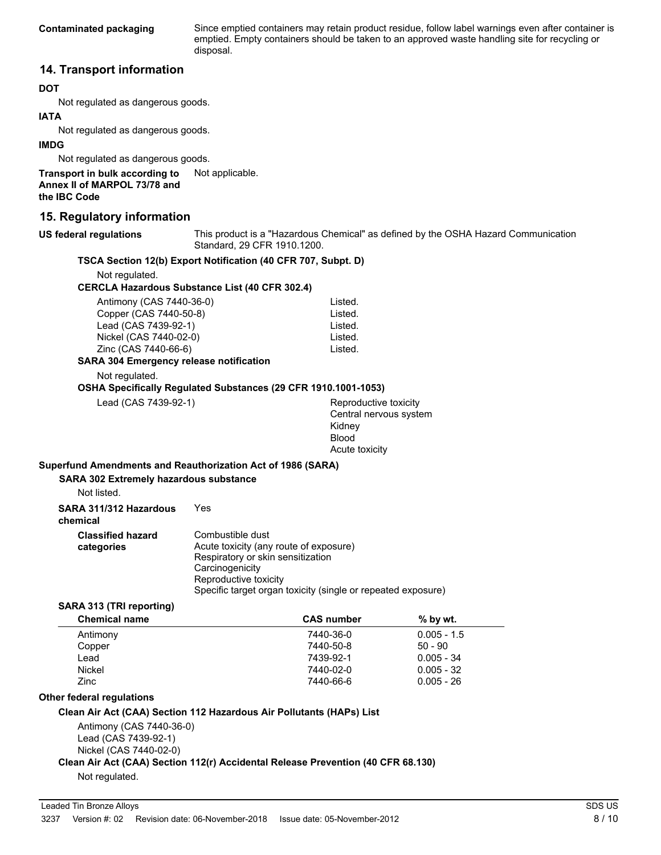Since emptied containers may retain product residue, follow label warnings even after container is emptied. Empty containers should be taken to an approved waste handling site for recycling or disposal.

### **14. Transport information**

#### **DOT**

Not regulated as dangerous goods.

#### **IATA**

Not regulated as dangerous goods.

#### **IMDG**

Not regulated as dangerous goods.

**Transport in bulk according to** Not applicable. **Annex II of MARPOL 73/78 and the IBC Code**

### **15. Regulatory information**

#### **US federal regulations**

This product is a "Hazardous Chemical" as defined by the OSHA Hazard Communication Standard, 29 CFR 1910.1200.

#### **TSCA Section 12(b) Export Notification (40 CFR 707, Subpt. D)**

Not regulated.

#### **CERCLA Hazardous Substance List (40 CFR 302.4)**

| Antimony (CAS 7440-36-0)               | Listed. |
|----------------------------------------|---------|
| Copper (CAS 7440-50-8)                 | Listed. |
| Lead (CAS 7439-92-1)                   | Listed. |
| Nickel (CAS 7440-02-0)                 | Listed. |
| Zinc (CAS 7440-66-6)                   | Listed. |
| 18.204 Emargeneur relegae natification |         |

### **SARA 304 Emergency release notification**

Not regulated.

#### **OSHA Specifically Regulated Substances (29 CFR 1910.1001-1053)**

Lead (CAS 7439-92-1) Reproductive toxicity Central nervous system Kidney Blood Acute toxicity

#### **Superfund Amendments and Reauthorization Act of 1986 (SARA)**

#### **SARA 302 Extremely hazardous substance**

Not listed.

**SARA 311/312 Hazardous** Yes

**chemical**

| <b>Classified hazard</b><br>categories | Combustible dust<br>Acute toxicity (any route of exposure)<br>Respiratory or skin sensitization<br>Carcinogenicity<br>Reproductive toxicity |  |
|----------------------------------------|---------------------------------------------------------------------------------------------------------------------------------------------|--|
|                                        |                                                                                                                                             |  |

#### Specific target organ toxicity (single or repeated exposure) **SARA 313 (TRI reporting)**

| <b>Chemical name</b> | <b>CAS number</b> | $%$ by wt.    |  |
|----------------------|-------------------|---------------|--|
| Antimony             | 7440-36-0         | $0.005 - 1.5$ |  |
| Copper               | 7440-50-8         | $50 - 90$     |  |
| Lead                 | 7439-92-1         | $0.005 - 34$  |  |
| Nickel               | 7440-02-0         | $0.005 - 32$  |  |
| Zinc                 | 7440-66-6         | $0.005 - 26$  |  |
|                      |                   |               |  |

#### **Other federal regulations**

#### **Clean Air Act (CAA) Section 112 Hazardous Air Pollutants (HAPs) List**

Antimony (CAS 7440-36-0) Lead (CAS 7439-92-1) Nickel (CAS 7440-02-0)

### **Clean Air Act (CAA) Section 112(r) Accidental Release Prevention (40 CFR 68.130)**

Not regulated.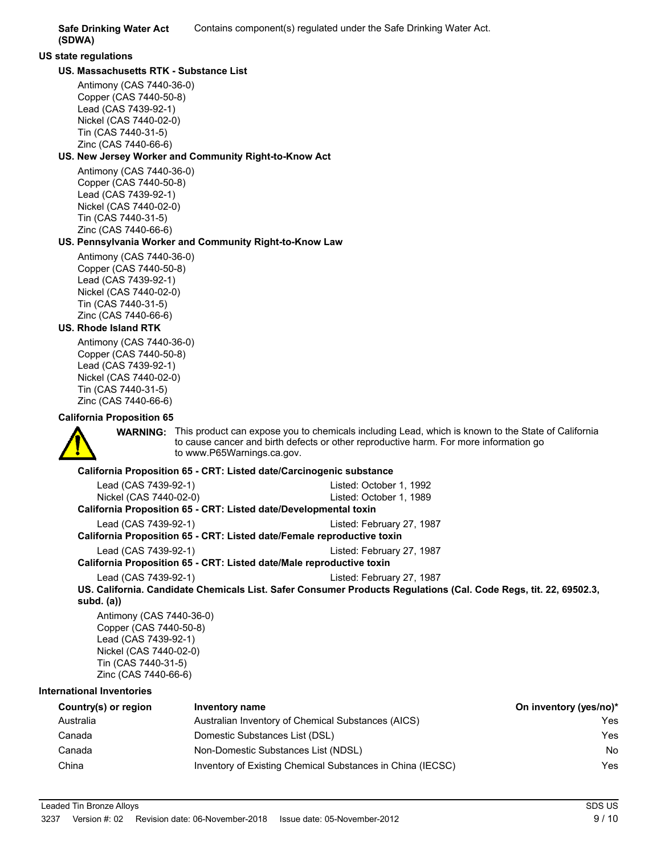**(SDWA)**

# **US state regulations**

### **US. Massachusetts RTK - Substance List**

Antimony (CAS 7440-36-0) Copper (CAS 7440-50-8) Lead (CAS 7439-92-1) Nickel (CAS 7440-02-0) Tin (CAS 7440-31-5) Zinc (CAS 7440-66-6)

### **US. New Jersey Worker and Community Right-to-Know Act**

Antimony (CAS 7440-36-0) Copper (CAS 7440-50-8) Lead (CAS 7439-92-1) Nickel (CAS 7440-02-0) Tin (CAS 7440-31-5) Zinc (CAS 7440-66-6)

#### **US. Pennsylvania Worker and Community Right-to-Know Law**

Antimony (CAS 7440-36-0) Copper (CAS 7440-50-8) Lead (CAS 7439-92-1) Nickel (CAS 7440-02-0) Tin (CAS 7440-31-5) Zinc (CAS 7440-66-6)

### **US. Rhode Island RTK**

Antimony (CAS 7440-36-0) Copper (CAS 7440-50-8) Lead (CAS 7439-92-1) Nickel (CAS 7440-02-0) Tin (CAS 7440-31-5) Zinc (CAS 7440-66-6)

### **California Proposition 65**

**WARNING:** This product can expose you to chemicals including Lead, which is known to the State of California to cause cancer and birth defects or other reproductive harm. For more information go to www.P65Warnings.ca.gov.

### **California Proposition 65 - CRT: Listed date/Carcinogenic substance**

| Lead (CAS 7439-92-1)                                                   | Listed: October 1, 1992                                                                                          |
|------------------------------------------------------------------------|------------------------------------------------------------------------------------------------------------------|
| Nickel (CAS 7440-02-0)                                                 | Listed: October 1, 1989                                                                                          |
| California Proposition 65 - CRT: Listed date/Developmental toxin       |                                                                                                                  |
| Lead (CAS 7439-92-1)                                                   | Listed: February 27, 1987                                                                                        |
| California Proposition 65 - CRT: Listed date/Female reproductive toxin |                                                                                                                  |
| Lead (CAS 7439-92-1)                                                   | Listed: February 27, 1987                                                                                        |
| California Proposition 65 - CRT: Listed date/Male reproductive toxin   |                                                                                                                  |
| Lead (CAS 7439-92-1)                                                   | Listed: February 27, 1987                                                                                        |
|                                                                        | US. California. Candidate Chemicals List. Safer Consumer Products Regulations (Cal. Code Regs, tit. 22, 69502.3, |
| $subd.$ $(a)$                                                          |                                                                                                                  |
| Antimony (CAS 7440-36-0)                                               |                                                                                                                  |
| Copper (CAS 7440-50-8)                                                 |                                                                                                                  |
| Lead (CAS 7439-92-1)                                                   |                                                                                                                  |
| Nickel (CAS 7440-02-0)                                                 |                                                                                                                  |
| Tin (CAS 7440-31-5)                                                    |                                                                                                                  |

TIN (CAS 7440-31-5) Zinc (CAS 7440-66-6)

### **International Inventories**

| Country(s) or region | Inventory name                                             | On inventory (yes/no)* |
|----------------------|------------------------------------------------------------|------------------------|
| Australia            | Australian Inventory of Chemical Substances (AICS)         | Yes                    |
| Canada               | Domestic Substances List (DSL)                             | Yes                    |
| Canada               | Non-Domestic Substances List (NDSL)                        | No                     |
| China                | Inventory of Existing Chemical Substances in China (IECSC) | Yes                    |